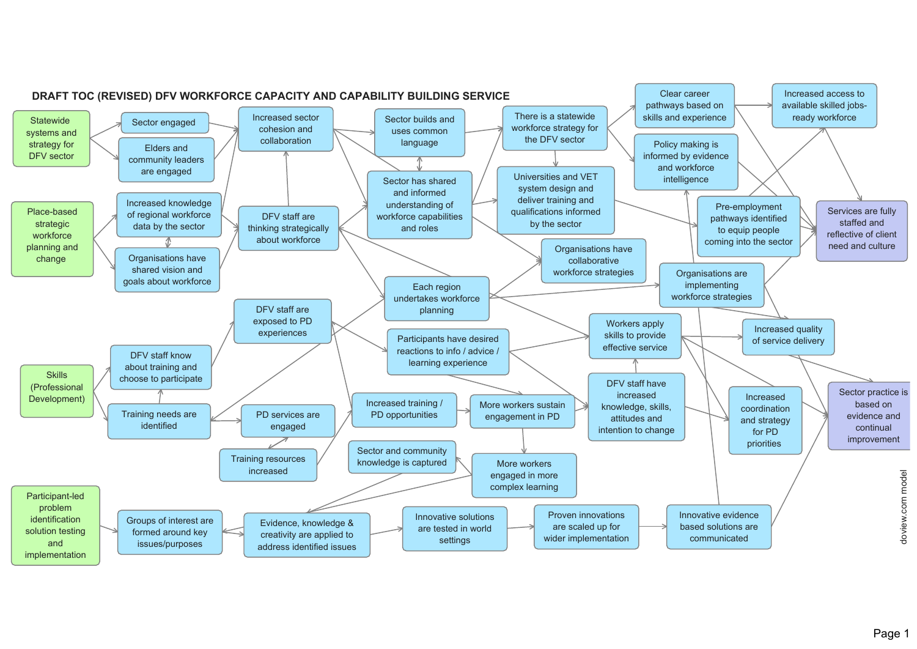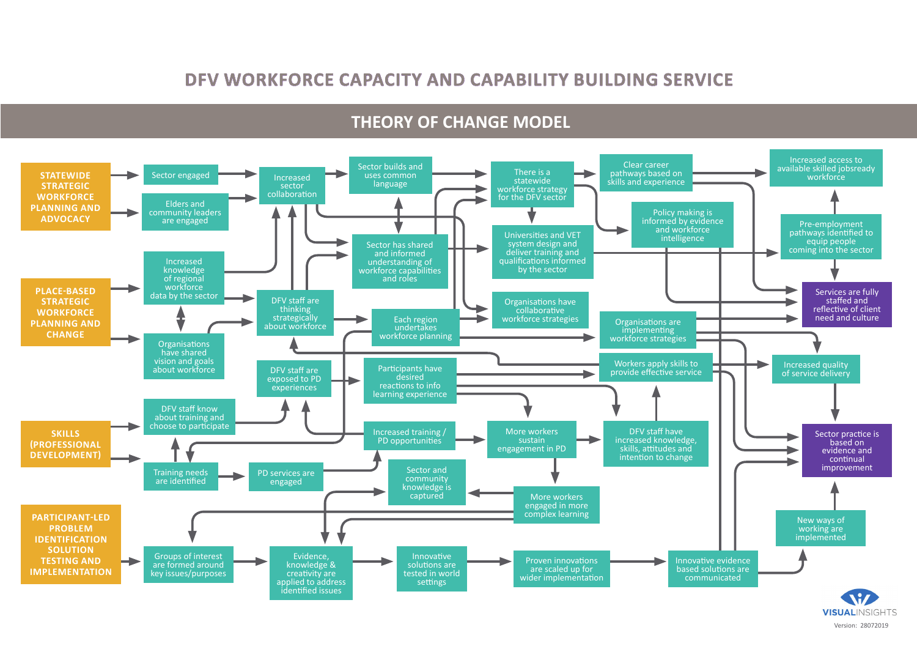#### **DFV WORKFORCE CAPACITY AND CAPABILITY BUILDING SERVICE**

#### **THEORY OF CHANGE MODEL**

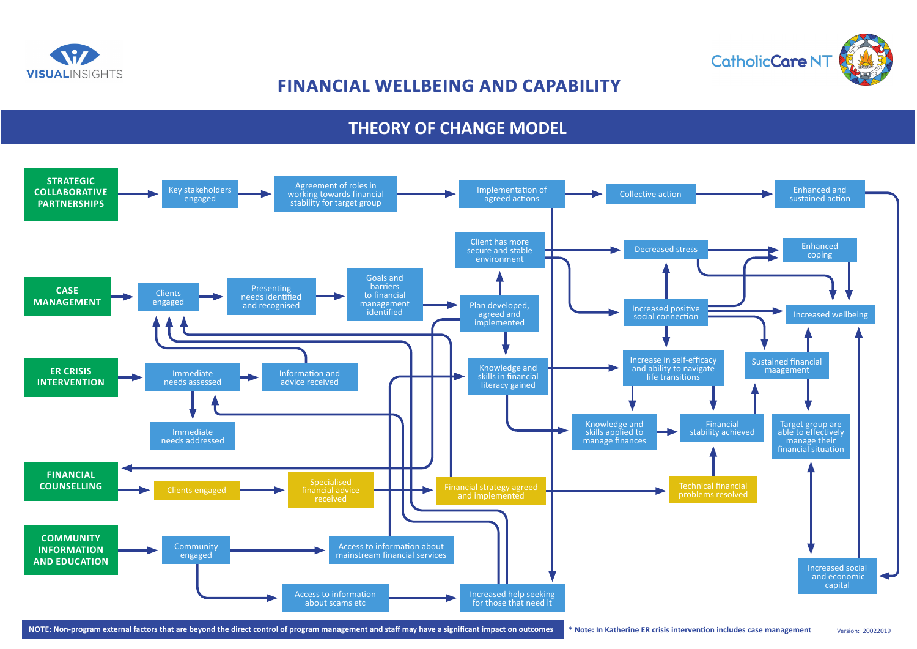

# **FINANCIAL WELLBEING AND CAPABILITY**

## **THEORY OF CHANGE MODEL**